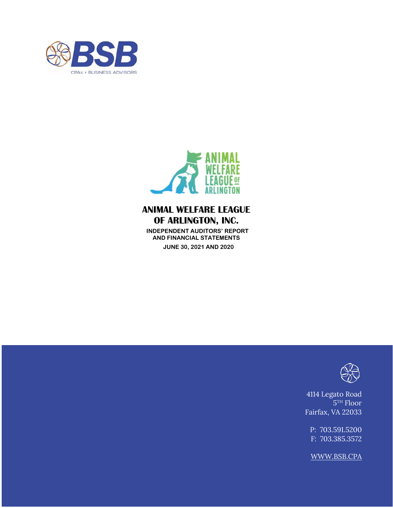



 **INDEPENDENT AUDITORS' REPORT AND FINANCIAL STATEMENTS JUNE 30, 2021 AND 2020**



4114 Legato Road 5<sup>тн</sup> Floor Fairfax, VA 22033

P: 703.591.5200 F: 703.385.3572

WWW.BSB.CPA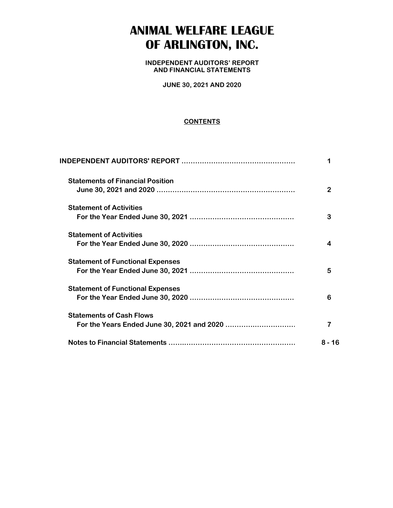**INDEPENDENT AUDITORS' REPORT AND FINANCIAL STATEMENTS**

**JUNE 30, 2021 AND 2020**

### **CONTENTS**

| <b>Statements of Financial Position</b> | 2      |
|-----------------------------------------|--------|
| <b>Statement of Activities</b>          | 3      |
| <b>Statement of Activities</b>          | 4      |
| <b>Statement of Functional Expenses</b> | 5      |
| <b>Statement of Functional Expenses</b> | 6      |
| <b>Statements of Cash Flows</b>         | 7      |
|                                         | 8 - 16 |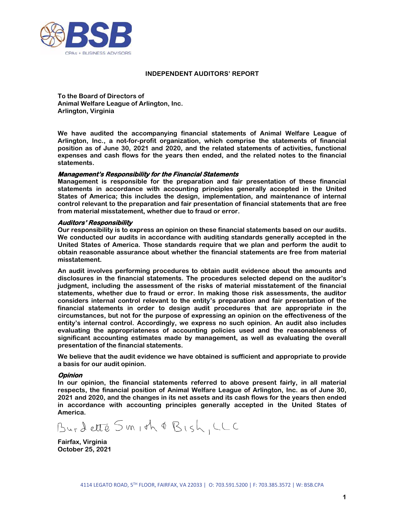

#### **INDEPENDENT AUDITORS' REPORT**

**To the Board of Directors of Animal Welfare League of Arlington, Inc. Arlington, Virginia**

**We have audited the accompanying financial statements of Animal Welfare League of Arlington, Inc., a not-for-profit organization, which comprise the statements of financial position as of June 30, 2021 and 2020, and the related statements of activities, functional expenses and cash flows for the years then ended, and the related notes to the financial statements.**

#### **Management's Responsibility for the Financial Statements**

**Management is responsible for the preparation and fair presentation of these financial statements in accordance with accounting principles generally accepted in the United States of America; this includes the design, implementation, and maintenance of internal control relevant to the preparation and fair presentation of financial statements that are free from material misstatement, whether due to fraud or error.**

#### **Auditors' Responsibility**

**Our responsibility is to express an opinion on these financial statements based on our audits. We conducted our audits in accordance with auditing standards generally accepted in the United States of America. Those standards require that we plan and perform the audit to obtain reasonable assurance about whether the financial statements are free from material misstatement.**

**An audit involves performing procedures to obtain audit evidence about the amounts and disclosures in the financial statements. The procedures selected depend on the auditor's judgment, including the assessment of the risks of material misstatement of the financial statements, whether due to fraud or error. In making those risk assessments, the auditor considers internal control relevant to the entity's preparation and fair presentation of the financial statements in order to design audit procedures that are appropriate in the circumstances, but not for the purpose of expressing an opinion on the effectiveness of the entity's internal control. Accordingly, we express no such opinion. An audit also includes evaluating the appropriateness of accounting policies used and the reasonableness of significant accounting estimates made by management, as well as evaluating the overall presentation of the financial statements.**

**We believe that the audit evidence we have obtained is sufficient and appropriate to provide a basis for our audit opinion.**

#### **Opinion**

**In our opinion, the financial statements referred to above present fairly, in all material respects, the financial position of Animal Welfare League of Arlington, Inc. as of June 30, 2021 and 2020, and the changes in its net assets and its cash flows for the years then ended in accordance with accounting principles generally accepted in the United States of America.**

Burdette Smith & Bish, LLC

**Fairfax, Virginia October 25, 2021**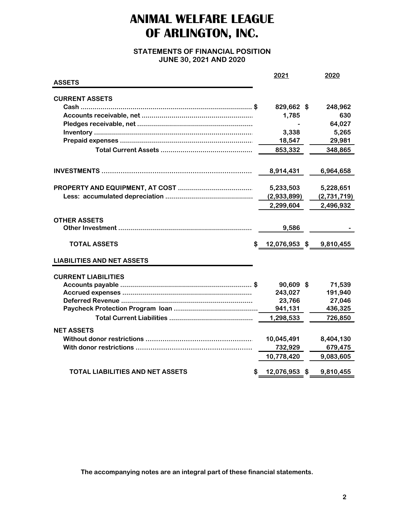### **STATEMENTS OF FINANCIAL POSITION JUNE 30, 2021 AND 2020**

| <b>ASSETS</b>                           | 2021                | 2020        |
|-----------------------------------------|---------------------|-------------|
| <b>CURRENT ASSETS</b>                   |                     |             |
|                                         | 829,662 \$          | 248,962     |
|                                         | 1,785               | 630         |
|                                         |                     | 64,027      |
|                                         | 3,338               | 5,265       |
|                                         | 18,547              | 29,981      |
|                                         | 853,332             | 348,865     |
|                                         |                     |             |
|                                         | 8,914,431           | 6,964,658   |
|                                         | 5,233,503           | 5,228,651   |
|                                         | (2,933,899)         | (2,731,719) |
|                                         | 2,299,604           | 2,496,932   |
| <b>OTHER ASSETS</b>                     |                     |             |
|                                         | 9,586               |             |
| <b>TOTAL ASSETS</b>                     | \$<br>12,076,953 \$ | 9,810,455   |
| <b>LIABILITIES AND NET ASSETS</b>       |                     |             |
| <b>CURRENT LIABILITIES</b>              |                     |             |
|                                         | $90,609$ \$         | 71,539      |
|                                         | 243,027             | 191,940     |
|                                         | 23,766              | 27,046      |
|                                         | 941,131             | 436,325     |
|                                         | 1,298,533           | 726,850     |
| <b>NET ASSETS</b>                       |                     |             |
|                                         | 10,045,491          | 8,404,130   |
|                                         | 732,929             | 679,475     |
|                                         | 10,778,420          | 9,083,605   |
| <b>TOTAL LIABILITIES AND NET ASSETS</b> | \$<br>12,076,953 \$ | 9,810,455   |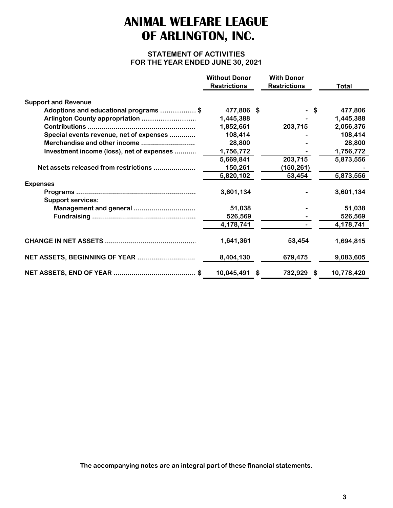### **STATEMENT OF ACTIVITIES FOR THE YEAR ENDED JUNE 30, 2021**

|                                           | <b>Without Donor</b><br><b>Restrictions</b> | <b>With Donor</b><br><b>Restrictions</b> |     | <b>Total</b> |
|-------------------------------------------|---------------------------------------------|------------------------------------------|-----|--------------|
| <b>Support and Revenue</b>                |                                             |                                          |     |              |
| Adoptions and educational programs \$     | 477,806 \$                                  | $\overline{\phantom{a}}$                 | -\$ | 477,806      |
| Arlington County appropriation            | 1,445,388                                   |                                          |     | 1,445,388    |
|                                           | 1,852,661                                   | 203,715                                  |     | 2,056,376    |
| Special events revenue, net of expenses   | 108,414                                     |                                          |     | 108,414      |
| Merchandise and other income              | 28,800                                      |                                          |     | 28,800       |
| Investment income (loss), net of expenses | 1,756,772                                   |                                          |     | 1,756,772    |
|                                           | 5,669,841                                   | 203,715                                  |     | 5,873,556    |
| Net assets released from restrictions     | 150,261                                     | (150, 261)                               |     |              |
|                                           | 5,820,102                                   | 53,454                                   |     | 5,873,556    |
| <b>Expenses</b>                           |                                             |                                          |     |              |
|                                           | 3,601,134                                   |                                          |     | 3,601,134    |
| <b>Support services:</b>                  |                                             |                                          |     |              |
| Management and general                    | 51,038                                      |                                          |     | 51,038       |
|                                           | 526,569                                     |                                          |     | 526,569      |
|                                           | 4,178,741                                   |                                          |     | 4,178,741    |
|                                           | 1,641,361                                   | 53,454                                   |     | 1,694,815    |
|                                           | 8,404,130                                   | 679,475                                  |     | 9,083,605    |
| \$                                        | 10,045,491                                  | 732,929                                  | -S  | 10,778,420   |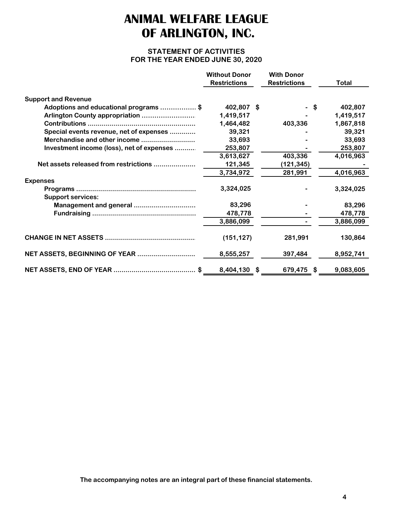### **STATEMENT OF ACTIVITIES FOR THE YEAR ENDED JUNE 30, 2020**

|                                           | <b>Without Donor</b><br><b>Restrictions</b> | <b>With Donor</b><br><b>Restrictions</b> |                                  | Total     |
|-------------------------------------------|---------------------------------------------|------------------------------------------|----------------------------------|-----------|
| <b>Support and Revenue</b>                |                                             |                                          |                                  |           |
| Adoptions and educational programs \$     | 402,807 \$                                  |                                          | - \$<br>$\overline{\phantom{0}}$ | 402,807   |
| Arlington County appropriation            | 1,419,517                                   |                                          |                                  | 1,419,517 |
|                                           | 1,464,482                                   | 403,336                                  |                                  | 1,867,818 |
| Special events revenue, net of expenses   | 39,321                                      |                                          |                                  | 39,321    |
| Merchandise and other income              | 33,693                                      |                                          |                                  | 33,693    |
| Investment income (loss), net of expenses | 253,807                                     |                                          |                                  | 253,807   |
|                                           | 3,613,627                                   | 403,336                                  |                                  | 4,016,963 |
| Net assets released from restrictions     | 121,345                                     | (121, 345)                               |                                  |           |
|                                           | 3,734,972                                   | 281,991                                  |                                  | 4,016,963 |
| <b>Expenses</b>                           |                                             |                                          |                                  |           |
|                                           | 3,324,025                                   |                                          |                                  | 3,324,025 |
| <b>Support services:</b>                  |                                             |                                          |                                  |           |
| Management and general                    | 83,296                                      |                                          |                                  | 83,296    |
|                                           | 478,778                                     |                                          |                                  | 478,778   |
|                                           | 3,886,099                                   |                                          |                                  | 3,886,099 |
|                                           | (151, 127)                                  | 281,991                                  |                                  | 130,864   |
| NET ASSETS, BEGINNING OF YEAR             | 8,555,257                                   | 397,484                                  |                                  | 8,952,741 |
|                                           | 8,404,130 \$                                | 679,475 \$                               |                                  | 9,083,605 |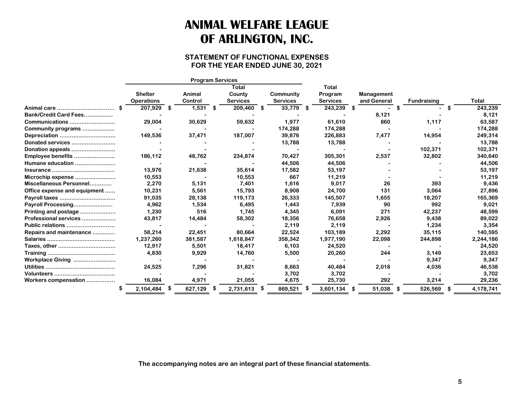### **STATEMENT OF FUNCTIONAL EXPENSES FOR THE YEAR ENDED JUNE 30, 2021**

|                              |                   |      | <b>Program Services</b> |                 |      |                 |     |                 |                   |      |                    |    |           |
|------------------------------|-------------------|------|-------------------------|-----------------|------|-----------------|-----|-----------------|-------------------|------|--------------------|----|-----------|
|                              |                   |      |                         | Total           |      |                 |     | Total           |                   |      |                    |    |           |
|                              | <b>Shelter</b>    |      | Animal                  | County          |      | Community       |     | Program         | <b>Management</b> |      |                    |    |           |
|                              | <b>Operations</b> |      | Control                 | <b>Services</b> |      | <b>Services</b> |     | <b>Services</b> | and General       |      | <b>Fundraising</b> |    | Total     |
| Animal care                  | 207,929           | - 35 | 1,531                   | \$<br>209,460   | - \$ | 33,779          | -\$ | $243,239$ \$    |                   |      |                    | S  | 243,239   |
| Bank/Credit Card Fees        |                   |      |                         |                 |      |                 |     |                 | 8,121             |      |                    |    | 8,121     |
| Communications               | 29,004            |      | 30,629                  | 59,632          |      | 1,977           |     | 61,610          | 860               |      | 1,117              |    | 63,587    |
| Community programs           |                   |      |                         |                 |      | 174,288         |     | 174,288         |                   |      |                    |    | 174,288   |
|                              | 149,536           |      | 37,471                  | 187,007         |      | 39,876          |     | 226,883         | 7,477             |      | 14,954             |    | 249,314   |
| Donated services             |                   |      |                         |                 |      | 13,788          |     | 13,788          |                   |      |                    |    | 13,788    |
| Donation appeals             |                   |      |                         |                 |      |                 |     |                 |                   |      | 102,371            |    | 102,371   |
| Employee benefits            | 186,112           |      | 48,762                  | 234,874         |      | 70,427          |     | 305,301         | 2,537             |      | 32,802             |    | 340,640   |
| Humane education             |                   |      |                         |                 |      | 44,506          |     | 44,506          |                   |      |                    |    | 44,506    |
|                              | 13,976            |      | 21,638                  | 35,614          |      | 17,582          |     | 53,197          |                   |      |                    |    | 53,197    |
| Microchip expense            | 10,553            |      |                         | 10,553          |      | 667             |     | 11,219          |                   |      |                    |    | 11,219    |
| Miscellaneous Personnel      | 2,270             |      | 5,131                   | 7,401           |      | 1,616           |     | 9,017           | 26                |      | 393                |    | 9,436     |
| Office expense and equipment | 10,231            |      | 5,561                   | 15,793          |      | 8,908           |     | 24,700          | 131               |      | 3.064              |    | 27,896    |
|                              | 91,035            |      | 28,138                  | 119,173         |      | 26,333          |     | 145,507         | 1,655             |      | 18,207             |    | 165,369   |
| Payroll Processing           | 4,962             |      | 1,534                   | 6,495           |      | 1,443           |     | 7,939           | 90                |      | 992                |    | 9,021     |
| Printing and postage         | 1,230             |      | 516                     | 1.745           |      | 4,345           |     | 6.091           | 271               |      | 42,237             |    | 48,599    |
| Professional services        | 43,817            |      | 14,484                  | 58,302          |      | 18,356          |     | 76,658          | 2,926             |      | 9,438              |    | 89,022    |
| Public relations             |                   |      |                         |                 |      | 2,119           |     | 2,119           |                   |      | 1,234              |    | 3,354     |
| Repairs and maintenance      | 58,214            |      | 22,451                  | 80,664          |      | 22,524          |     | 103,189         | 2,292             |      | 35,115             |    | 140,595   |
|                              | 1,237,260         |      | 381,587                 | 1,618,847       |      | 358,342         |     | 1,977,190       | 22,098            |      | 244,898            |    | 2,244,186 |
| Taxes. other                 | 12,917            |      | 5,501                   | 18,417          |      | 6,103           |     | 24,520          |                   |      |                    |    | 24,520    |
|                              | 4,830             |      | 9,929                   | 14,760          |      | 5,500           |     | 20,260          | 244               |      | 3,149              |    | 23,653    |
| Workplace Giving             |                   |      |                         |                 |      |                 |     |                 |                   |      | 9,347              |    | 9,347     |
|                              | 24,525            |      | 7,296                   | 31,821          |      | 8,663           |     | 40,484          | 2,018             |      | 4,036              |    | 46,538    |
|                              |                   |      |                         |                 |      | 3,702           |     | 3,702           |                   |      |                    |    | 3,702     |
| Workers compensation         | 16,084            |      | 4,971                   | 21,055          |      | 4,675           |     | 25,730          | 292               |      | 3,214              |    | 29,236    |
|                              | 2,104,484         | - 56 | 627,129                 | 2,731,613       | - \$ | 869,521         | - 5 | $3,601,134$ \$  | 51,038            | - \$ | 526,569            | -S | 4,178,741 |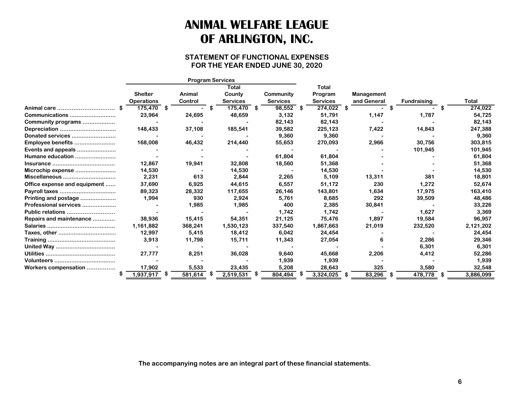### **STATEMENT OF FUNCTIONAL EXPENSES FOR THE YEAR ENDED JUNE 30, 2020**

|                              |                   | <b>Program Services</b> |                 |    |                 |      |                 |      |             |      |                    |      |           |
|------------------------------|-------------------|-------------------------|-----------------|----|-----------------|------|-----------------|------|-------------|------|--------------------|------|-----------|
|                              |                   |                         | Total           |    |                 |      | Total           |      |             |      |                    |      |           |
|                              | <b>Shelter</b>    | Animal                  | County          |    | Community       |      | Program         |      | Management  |      |                    |      |           |
|                              | <b>Operations</b> | Control                 | <b>Services</b> |    | <b>Services</b> |      | <b>Services</b> |      | and General |      | <b>Fundraising</b> |      | Total     |
| Animal care                  | 175,470 \$        |                         | 175,470         | S. | 98,552          | - 56 | 274,022         | - \$ |             |      |                    |      | 274,022   |
| Communications               | 23,964            | 24,695                  | 48,659          |    | 3,132           |      | 51,791          |      | 1,147       |      | 1,787              |      | 54,725    |
| Community programs           |                   |                         |                 |    | 82,143          |      | 82,143          |      |             |      |                    |      | 82,143    |
|                              | 148,433           | 37,108                  | 185,541         |    | 39,582          |      | 225,123         |      | 7,422       |      | 14,843             |      | 247,388   |
| Donated services             |                   |                         |                 |    | 9,360           |      | 9,360           |      |             |      |                    |      | 9,360     |
| Employee benefits            | 168,008           | 46,432                  | 214,440         |    | 55,653          |      | 270,093         |      | 2,966       |      | 30,756             |      | 303,815   |
| Events and appeals           |                   |                         |                 |    |                 |      |                 |      |             |      | 101,945            |      | 101,945   |
| Humane education             |                   |                         |                 |    | 61.804          |      | 61,804          |      |             |      |                    |      | 61,804    |
|                              | 12,867            | 19,941                  | 32,808          |    | 18,560          |      | 51,368          |      |             |      |                    |      | 51,368    |
| Microchip expense            | 14,530            |                         | 14,530          |    |                 |      | 14,530          |      |             |      |                    |      | 14,530    |
| Miscellaneous                | 2,231             | 613                     | 2,844           |    | 2,265           |      | 5,109           |      | 13,311      |      | 381                |      | 18,801    |
| Office expense and equipment | 37,690            | 6,925                   | 44,615          |    | 6,557           |      | 51,172          |      | 230         |      | 1,272              |      | 52,674    |
|                              | 89,323            | 28,332                  | 117,655         |    | 26,146          |      | 143,801         |      | 1,634       |      | 17,975             |      | 163,410   |
| Printing and postage         | 1,994             | 930                     | 2,924           |    | 5,761           |      | 8,685           |      | 292         |      | 39,509             |      | 48,486    |
| Professional services        |                   | 1,985                   | 1,985           |    | 400             |      | 2,385           |      | 30,841      |      |                    |      | 33,226    |
| Public relations             |                   |                         |                 |    | 1,742           |      | 1,742           |      |             |      | 1,627              |      | 3,369     |
| Repairs and maintenance      | 38,936            | 15,415                  | 54,351          |    | 21,125          |      | 75,476          |      | 1,897       |      | 19,584             |      | 96,957    |
|                              | 1,161,882         | 368,241                 | 1,530,123       |    | 337,540         |      | 1,867,663       |      | 21,019      |      | 232,520            |      | 2,121,202 |
|                              | 12,997            | 5,415                   | 18,412          |    | 6,042           |      | 24,454          |      |             |      |                    |      | 24,454    |
|                              | 3,913             | 11,798                  | 15,711          |    | 11,343          |      | 27,054          |      | 6           |      | 2,286              |      | 29,346    |
|                              |                   |                         |                 |    |                 |      |                 |      |             |      | 6,301              |      | 6,301     |
|                              | 27,777            | 8,251                   | 36,028          |    | 9,640           |      | 45,668          |      | 2,206       |      | 4,412              |      | 52,286    |
|                              |                   |                         |                 |    | 1,939           |      | 1,939           |      |             |      |                    |      | 1,939     |
| Workers compensation         | 17,902            | 5,533                   | 23,435          |    | 5,208           |      | 28,643          |      | 325         |      | 3,580              |      | 32,548    |
|                              | 1,937,917         | 581,614<br>- 35         | 2,519,531       |    | 804,494         |      | 3,324,025       |      | 83,296      | - 35 | 478,778            | - 35 | 3,886,099 |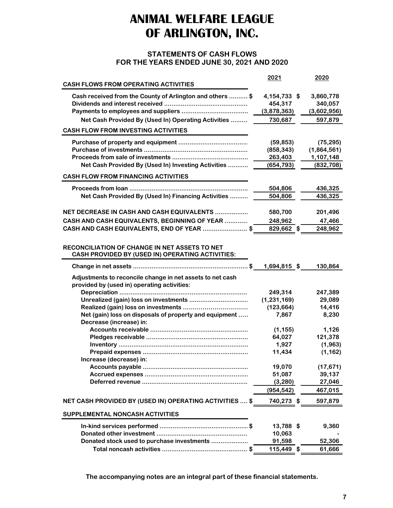### **STATEMENTS OF CASH FLOWS FOR THE YEARS ENDED JUNE 30, 2021 AND 2020**

| <b>CASH FLOWS FROM OPERATING ACTIVITIES</b>               | 2021           | 2020        |
|-----------------------------------------------------------|----------------|-------------|
| Cash received from the County of Arlington and others  \$ | 4, 154, 733 \$ | 3,860,778   |
|                                                           | 454,317        | 340,057     |
|                                                           | (3,878,363)    | (3,602,956) |
| Net Cash Provided By (Used In) Operating Activities       | 730,687        | 597,879     |
| <b>CASH FLOW FROM INVESTING ACTIVITIES</b>                |                |             |
|                                                           | (59, 853)      | (75, 295)   |
|                                                           | (858,343)      | (1,864,561) |
|                                                           | 263,403        | 1,107,148   |
| Net Cash Provided By (Used In) Investing Activities       | (654, 793)     | (832, 708)  |
| <b>CASH FLOW FROM FINANCING ACTIVITIES</b>                |                |             |
|                                                           | 504,806        | 436,325     |
| Net Cash Provided By (Used In) Financing Activities       | 504,806        | 436,325     |
| NET DECREASE IN CASH AND CASH EQUIVALENTS                 | 580,700        | 201,496     |
|                                                           |                |             |
| CASH AND CASH EQUIVALENTS, BEGINNING OF YEAR              | 248,962        | 47,466      |
| CASH AND CASH EQUIVALENTS, END OF YEAR \$                 | 829,662 \$     | 248,962     |

### **RECONCILIATION OF CHANGE IN NET ASSETS TO NET**

 **CASH PROVIDED BY (USED IN) OPERATING ACTIVITIES:**

|                                                                | 1,694,815 \$  | 130,864   |
|----------------------------------------------------------------|---------------|-----------|
| Adjustments to reconcile change in net assets to net cash      |               |           |
| provided by (used in) operating activities:                    |               |           |
|                                                                | 249,314       | 247,389   |
|                                                                | (1, 231, 169) | 29,089    |
|                                                                | (123, 664)    | 14,416    |
| Net (gain) loss on disposals of property and equipment         | 7,867         | 8,230     |
| Decrease (increase) in:                                        |               |           |
|                                                                | (1, 155)      | 1,126     |
|                                                                | 64,027        | 121,378   |
|                                                                | 1,927         | (1,963)   |
|                                                                | 11,434        | (1, 162)  |
| Increase (decrease) in:                                        |               |           |
|                                                                | 19,070        | (17, 671) |
|                                                                | 51,087        | 39,137    |
|                                                                | (3, 280)      | 27,046    |
|                                                                | (954, 542)    | 467,015   |
| <b>NET CASH PROVIDED BY (USED IN) OPERATING ACTIVITIES  \$</b> | 740,273 \$    | 597,879   |
| <b>SUPPLEMENTAL NONCASH ACTIVITIES</b>                         |               |           |
|                                                                | $13,788$ \$   | 9,360     |
|                                                                | 10,063        |           |
| Donated stock used to purchase investments                     | 91,598        | 52,306    |
|                                                                | $115,449$ \$  | 61,666    |
|                                                                |               |           |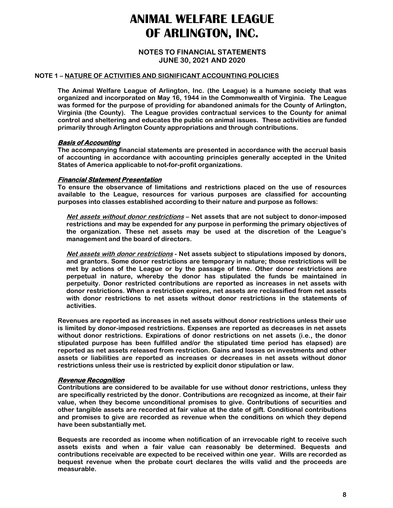#### **NOTES TO FINANCIAL STATEMENTS JUNE 30, 2021 AND 2020**

#### **NOTE 1 – NATURE OF ACTIVITIES AND SIGNIFICANT ACCOUNTING POLICIES**

**The Animal Welfare League of Arlington, Inc. (the League) is a humane society that was organized and incorporated on May 16, 1944 in the Commonwealth of Virginia. The League was formed for the purpose of providing for abandoned animals for the County of Arlington, Virginia (the County). The League provides contractual services to the County for animal control and sheltering and educates the public on animal issues. These activities are funded primarily through Arlington County appropriations and through contributions.**

#### **Basis of Accounting**

**The accompanying financial statements are presented in accordance with the accrual basis of accounting in accordance with accounting principles generally accepted in the United States of America applicable to not-for-profit organizations.**

#### **Financial Statement Presentation**

**To ensure the observance of limitations and restrictions placed on the use of resources available to the League, resources for various purposes are classified for accounting purposes into classes established according to their nature and purpose as follows:**

**Net assets without donor restrictions – Net assets that are not subject to donor-imposed restrictions and may be expended for any purpose in performing the primary objectives of the organization. These net assets may be used at the discretion of the League's management and the board of directors.** 

**Net assets with donor restrictions - Net assets subject to stipulations imposed by donors, and grantors. Some donor restrictions are temporary in nature; those restrictions will be met by actions of the League or by the passage of time. Other donor restrictions are perpetual in nature, whereby the donor has stipulated the funds be maintained in perpetuity. Donor restricted contributions are reported as increases in net assets with donor restrictions. When a restriction expires, net assets are reclassified from net assets with donor restrictions to net assets without donor restrictions in the statements of activities.**

**Revenues are reported as increases in net assets without donor restrictions unless their use is limited by donor-imposed restrictions. Expenses are reported as decreases in net assets without donor restrictions. Expirations of donor restrictions on net assets (i.e., the donor stipulated purpose has been fulfilled and/or the stipulated time period has elapsed) are reported as net assets released from restriction. Gains and losses on investments and other assets or liabilities are reported as increases or decreases in net assets without donor restrictions unless their use is restricted by explicit donor stipulation or law.**

#### **Revenue Recognition**

**Contributions are considered to be available for use without donor restrictions, unless they are specifically restricted by the donor. Contributions are recognized as income, at their fair value, when they become unconditional promises to give. Contributions of securities and other tangible assets are recorded at fair value at the date of gift. Conditional contributions and promises to give are recorded as revenue when the conditions on which they depend have been substantially met.** 

**Bequests are recorded as income when notification of an irrevocable right to receive such assets exists and when a fair value can reasonably be determined. Bequests and contributions receivable are expected to be received within one year. Wills are recorded as bequest revenue when the probate court declares the wills valid and the proceeds are measurable.**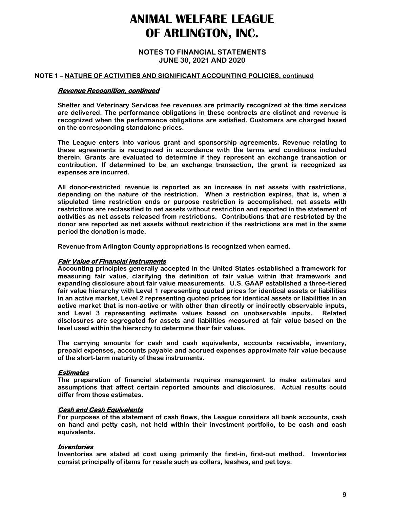#### **NOTES TO FINANCIAL STATEMENTS JUNE 30, 2021 AND 2020**

#### **NOTE 1 – NATURE OF ACTIVITIES AND SIGNIFICANT ACCOUNTING POLICIES, continued**

#### **Revenue Recognition, continued**

**Shelter and Veterinary Services fee revenues are primarily recognized at the time services are delivered. The performance obligations in these contracts are distinct and revenue is recognized when the performance obligations are satisfied. Customers are charged based on the corresponding standalone prices.** 

**The League enters into various grant and sponsorship agreements. Revenue relating to these agreements is recognized in accordance with the terms and conditions included therein. Grants are evaluated to determine if they represent an exchange transaction or contribution. If determined to be an exchange transaction, the grant is recognized as expenses are incurred.** 

**All donor-restricted revenue is reported as an increase in net assets with restrictions, depending on the nature of the restriction. When a restriction expires, that is, when a stipulated time restriction ends or purpose restriction is accomplished, net assets with restrictions are reclassified to net assets without restriction and reported in the statement of activities as net assets released from restrictions. Contributions that are restricted by the donor are reported as net assets without restriction if the restrictions are met in the same period the donation is made.** 

**Revenue from Arlington County appropriations is recognized when earned.**

#### **Fair Value of Financial Instruments**

**Accounting principles generally accepted in the United States established a framework for measuring fair value, clarifying the definition of fair value within that framework and expanding disclosure about fair value measurements. U.S. GAAP established a three-tiered fair value hierarchy with Level 1 representing quoted prices for identical assets or liabilities in an active market, Level 2 representing quoted prices for identical assets or liabilities in an active market that is non-active or with other than directly or indirectly observable inputs, and Level 3 representing estimate values based on unobservable inputs. Related disclosures are segregated for assets and liabilities measured at fair value based on the level used within the hierarchy to determine their fair values.** 

**The carrying amounts for cash and cash equivalents, accounts receivable, inventory, prepaid expenses, accounts payable and accrued expenses approximate fair value because of the short-term maturity of these instruments.**

#### **Estimates**

**The preparation of financial statements requires management to make estimates and assumptions that affect certain reported amounts and disclosures. Actual results could differ from those estimates.**

#### **Cash and Cash Equivalents**

**For purposes of the statement of cash flows, the League considers all bank accounts, cash on hand and petty cash, not held within their investment portfolio, to be cash and cash equivalents.** 

#### **Inventories**

**Inventories are stated at cost using primarily the first-in, first-out method. Inventories consist principally of items for resale such as collars, leashes, and pet toys.**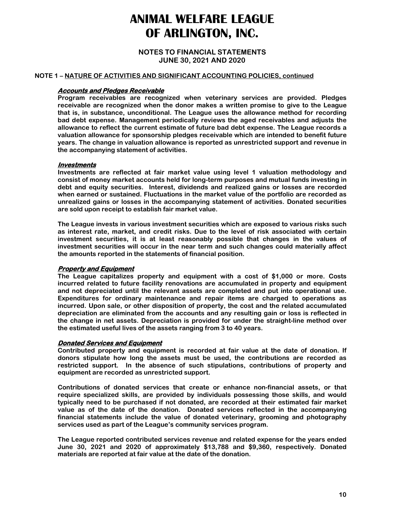**NOTES TO FINANCIAL STATEMENTS JUNE 30, 2021 AND 2020**

#### **NOTE 1 – NATURE OF ACTIVITIES AND SIGNIFICANT ACCOUNTING POLICIES, continued**

#### **Accounts and Pledges Receivable**

**Program receivables are recognized when veterinary services are provided. Pledges receivable are recognized when the donor makes a written promise to give to the League that is, in substance, unconditional. The League uses the allowance method for recording bad debt expense. Management periodically reviews the aged receivables and adjusts the allowance to reflect the current estimate of future bad debt expense. The League records a valuation allowance for sponsorship pledges receivable which are intended to benefit future years. The change in valuation allowance is reported as unrestricted support and revenue in the accompanying statement of activities.**

#### **Investments**

**Investments are reflected at fair market value using level 1 valuation methodology and consist of money market accounts held for long-term purposes and mutual funds investing in debt and equity securities. Interest, dividends and realized gains or losses are recorded when earned or sustained. Fluctuations in the market value of the portfolio are recorded as unrealized gains or losses in the accompanying statement of activities. Donated securities are sold upon receipt to establish fair market value.**

**The League invests in various investment securities which are exposed to various risks such as interest rate, market, and credit risks. Due to the level of risk associated with certain investment securities, it is at least reasonably possible that changes in the values of investment securities will occur in the near term and such changes could materially affect the amounts reported in the statements of financial position.**

#### **Property and Equipment**

**The League capitalizes property and equipment with a cost of \$1,000 or more. Costs incurred related to future facility renovations are accumulated in property and equipment and not depreciated until the relevant assets are completed and put into operational use. Expenditures for ordinary maintenance and repair items are charged to operations as incurred. Upon sale, or other disposition of property, the cost and the related accumulated depreciation are eliminated from the accounts and any resulting gain or loss is reflected in the change in net assets. Depreciation is provided for under the straight-line method over the estimated useful lives of the assets ranging from 3 to 40 years.** 

#### **Donated Services and Equipment**

**Contributed property and equipment is recorded at fair value at the date of donation. If donors stipulate how long the assets must be used, the contributions are recorded as restricted support. In the absence of such stipulations, contributions of property and equipment are recorded as unrestricted support.**

**Contributions of donated services that create or enhance non-financial assets, or that require specialized skills, are provided by individuals possessing those skills, and would typically need to be purchased if not donated, are recorded at their estimated fair market value as of the date of the donation. Donated services reflected in the accompanying financial statements include the value of donated veterinary, grooming and photography services used as part of the League's community services program.** 

**The League reported contributed services revenue and related expense for the years ended June 30, 2021 and 2020 of approximately \$13,788 and \$9,360, respectively. Donated materials are reported at fair value at the date of the donation.**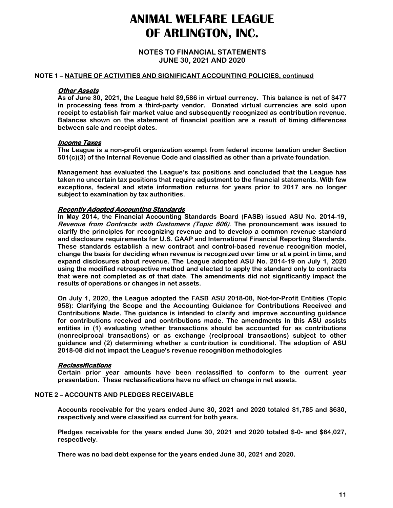#### **NOTES TO FINANCIAL STATEMENTS JUNE 30, 2021 AND 2020**

#### **NOTE 1 – NATURE OF ACTIVITIES AND SIGNIFICANT ACCOUNTING POLICIES, continued**

#### **Other Assets**

**As of June 30, 2021, the League held \$9,586 in virtual currency. This balance is net of \$477 in processing fees from a third-party vendor. Donated virtual currencies are sold upon receipt to establish fair market value and subsequently recognized as contribution revenue. Balances shown on the statement of financial position are a result of timing differences between sale and receipt dates.** 

#### **Income Taxes**

**The League is a non-profit organization exempt from federal income taxation under Section 501(c)(3) of the Internal Revenue Code and classified as other than a private foundation.** 

**Management has evaluated the League's tax positions and concluded that the League has taken no uncertain tax positions that require adjustment to the financial statements. With few exceptions, federal and state information returns for years prior to 2017 are no longer subject to examination by tax authorities.**

#### **Recently Adopted Accounting Standards**

**In May 2014, the Financial Accounting Standards Board (FASB) issued ASU No. 2014-19, Revenue from Contracts with Customers (Topic 606). The pronouncement was issued to clarify the principles for recognizing revenue and to develop a common revenue standard and disclosure requirements for U.S. GAAP and International Financial Reporting Standards. These standards establish a new contract and control-based revenue recognition model, change the basis for deciding when revenue is recognized over time or at a point in time, and expand disclosures about revenue. The League adopted ASU No. 2014-19 on July 1, 2020 using the modified retrospective method and elected to apply the standard only to contracts that were not completed as of that date. The amendments did not significantly impact the results of operations or changes in net assets.** 

**On July 1, 2020, the League adopted the FASB ASU 2018-08, Not-for-Profit Entities (Topic 958): Clarifying the Scope and the Accounting Guidance for Contributions Received and Contributions Made. The guidance is intended to clarify and improve accounting guidance for contributions received and contributions made. The amendments in this ASU assists entities in (1) evaluating whether transactions should be accounted for as contributions (nonreciprocal transactions) or as exchange (reciprocal transactions) subject to other guidance and (2) determining whether a contribution is conditional. The adoption of ASU 2018-08 did not impact the League's revenue recognition methodologies**

#### **Reclassifications**

**Certain prior year amounts have been reclassified to conform to the current year presentation. These reclassifications have no effect on change in net assets.**

### **NOTE 2 – ACCOUNTS AND PLEDGES RECEIVABLE**

**Accounts receivable for the years ended June 30, 2021 and 2020 totaled \$1,785 and \$630, respectively and were classified as current for both years.**

**Pledges receivable for the years ended June 30, 2021 and 2020 totaled \$-0- and \$64,027, respectively.**

**There was no bad debt expense for the years ended June 30, 2021 and 2020.**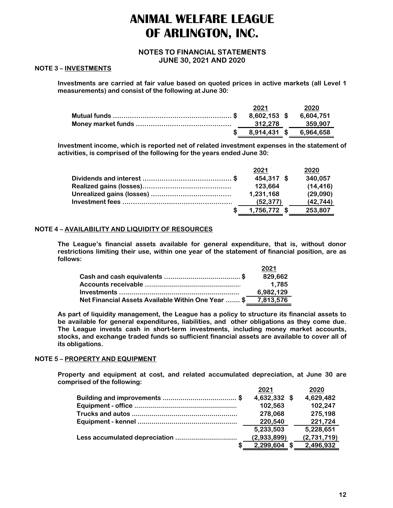#### **NOTES TO FINANCIAL STATEMENTS JUNE 30, 2021 AND 2020**

#### **NOTE 3 – INVESTMENTS**

**Investments are carried at fair value based on quoted prices in active markets (all Level 1 measurements) and consist of the following at June 30:** 

| 2021         | 2020                   |
|--------------|------------------------|
| 8,602,153 \$ | 6.604.751              |
| 312.278      | 359.907                |
|              | 8,914,431 \$ 6,964,658 |

**Investment income, which is reported net of related investment expenses in the statement of activities, is comprised of the following for the years ended June 30:**

| 2021         | 2020      |
|--------------|-----------|
| 454.317 \$   | 340,057   |
| 123.664      | (14, 416) |
| 1.231.168    | (29,090)  |
| (52, 377)    | (42.744)  |
| 1,756,772 \$ | 253,807   |

#### **NOTE 4 – AVAILABILITY AND LIQUIDITY OF RESOURCES**

**The League's financial assets available for general expenditure, that is, without donor restrictions limiting their use, within one year of the statement of financial position, are as follows:**

|                                                    | 2021      |
|----------------------------------------------------|-----------|
|                                                    | 829.662   |
|                                                    | 1.785     |
|                                                    | 6,982,129 |
| Net Financial Assets Available Within One Year  \$ | 7,813,576 |

**As part of liquidity management, the League has a policy to structure its financial assets to be available for general expenditures, liabilities, and other obligations as they come due. The League invests cash in short-term investments, including money market accounts, stocks, and exchange traded funds so sufficient financial assets are available to cover all of its obligations.**

#### **NOTE 5 – PROPERTY AND EQUIPMENT**

**Property and equipment at cost, and related accumulated depreciation, at June 30 are comprised of the following:**

| 2021         | 2020        |
|--------------|-------------|
| 4,632,332 \$ | 4,629,482   |
| 102,563      | 102,247     |
| 278,068      | 275,198     |
| 220,540      | 221,724     |
| 5,233,503    | 5,228,651   |
| (2,933,899)  | (2,731,719) |
| 2,299,604    | 2,496,932   |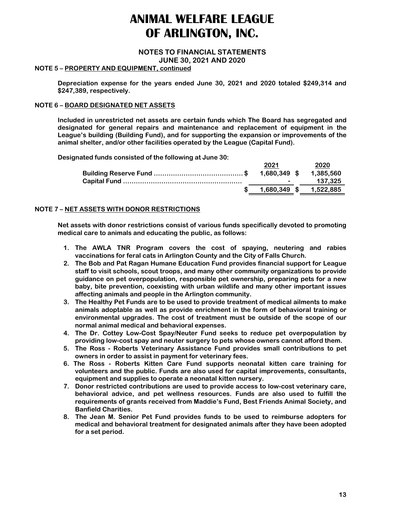### **NOTES TO FINANCIAL STATEMENTS**

**JUNE 30, 2021 AND 2020**

### **NOTE 5 – PROPERTY AND EQUIPMENT, continued**

**Depreciation expense for the years ended June 30, 2021 and 2020 totaled \$249,314 and \$247,389, respectively.** 

#### **NOTE 6 – BOARD DESIGNATED NET ASSETS**

**Included in unrestricted net assets are certain funds which The Board has segregated and designated for general repairs and maintenance and replacement of equipment in the League's building (Building Fund), and for supporting the expansion or improvements of the animal shelter, and/or other facilities operated by the League (Capital Fund).** 

**Designated funds consisted of the following at June 30:**

| 2021           | 2020      |
|----------------|-----------|
| $1.680.349$ \$ | 1.385.560 |
|                | 137.325   |
| 1,680,349 \$   | 1.522.885 |

#### **NOTE 7 – NET ASSETS WITH DONOR RESTRICTIONS**

**Net assets with donor restrictions consist of various funds specifically devoted to promoting medical care to animals and educating the public, as follows:**

- **1. The AWLA TNR Program covers the cost of spaying, neutering and rabies vaccinations for feral cats in Arlington County and the City of Falls Church.**
- **2. The Bob and Pat Ragan Humane Education Fund provides financial support for League staff to visit schools, scout troops, and many other community organizations to provide guidance on pet overpopulation, responsible pet ownership, preparing pets for a new baby, bite prevention, coexisting with urban wildlife and many other important issues affecting animals and people in the Arlington community.**
- **3. The Healthy Pet Funds are to be used to provide treatment of medical ailments to make animals adoptable as well as provide enrichment in the form of behavioral training or environmental upgrades. The cost of treatment must be outside of the scope of our normal animal medical and behavioral expenses.**
- **4. The Dr. Cottey Low-Cost Spay/Neuter Fund seeks to reduce pet overpopulation by providing low-cost spay and neuter surgery to pets whose owners cannot afford them.**
- **5. The Ross Roberts Veterinary Assistance Fund provides small contributions to pet owners in order to assist in payment for veterinary fees.**
- **6. The Ross Roberts Kitten Care Fund supports neonatal kitten care training for volunteers and the public. Funds are also used for capital improvements, consultants, equipment and supplies to operate a neonatal kitten nursery.**
- **7. Donor restricted contributions are used to provide access to low-cost veterinary care, behavioral advice, and pet wellness resources. Funds are also used to fulfill the requirements of grants received from Maddie's Fund, Best Friends Animal Society, and Banfield Charities.**
- **8. The Jean M. Senior Pet Fund provides funds to be used to reimburse adopters for medical and behavioral treatment for designated animals after they have been adopted for a set period.**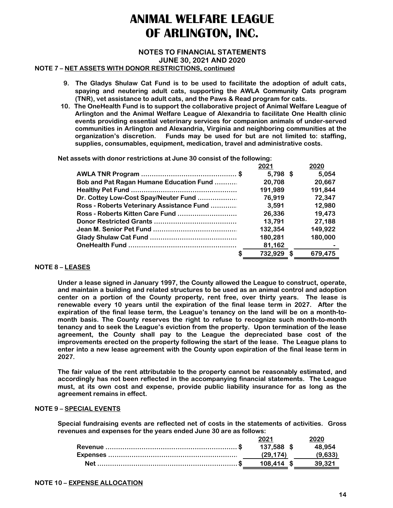### **NOTES TO FINANCIAL STATEMENTS JUNE 30, 2021 AND 2020**

### **NOTE 7 – NET ASSETS WITH DONOR RESTRICTIONS, continued**

- **9. The Gladys Shulaw Cat Fund is to be used to facilitate the adoption of adult cats, spaying and neutering adult cats, supporting the AWLA Community Cats program (TNR), vet assistance to adult cats, and the Paws & Read program for cats.**
- **10. The OneHealth Fund is to support the collaborative project of Animal Welfare League of Arlington and the Animal Welfare League of Alexandria to facilitate One Health clinic events providing essential veterinary services for companion animals of under-served communities in Arlington and Alexandria, Virginia and neighboring communities at the organization's discretion. Funds may be used for but are not limited to: staffing, supplies, consumables, equipment, medication, travel and administrative costs.**

|                                                 | 2021            | 2020    |
|-------------------------------------------------|-----------------|---------|
|                                                 | 5.798 \$        | 5.054   |
| <b>Bob and Pat Ragan Humane Education Fund </b> | 20,708          | 20,667  |
|                                                 | 191,989         | 191,844 |
| Dr. Cottey Low-Cost Spay/Neuter Fund            | 76,919          | 72,347  |
| Ross - Roberts Veterinary Assistance Fund       | 3.591           | 12,980  |
| Ross - Roberts Kitten Care Fund                 | 26,336          | 19,473  |
|                                                 | 13.791          | 27,188  |
|                                                 | 132,354         | 149,922 |
|                                                 | 180,281         | 180,000 |
|                                                 | 81,162          |         |
|                                                 | 732,929<br>- 35 | 679,475 |

**Net assets with donor restrictions at June 30 consist of the following:**

#### **NOTE 8 – LEASES**

**Under a lease signed in January 1997, the County allowed the League to construct, operate, and maintain a building and related structures to be used as an animal control and adoption center on a portion of the County property, rent free, over thirty years. The lease is renewable every 10 years until the expiration of the final lease term in 2027. After the expiration of the final lease term, the League's tenancy on the land will be on a month-tomonth basis. The County reserves the right to refuse to recognize such month-to-month tenancy and to seek the League's eviction from the property. Upon termination of the lease agreement, the County shall pay to the League the depreciated base cost of the improvements erected on the property following the start of the lease. The League plans to enter into a new lease agreement with the County upon expiration of the final lease term in 2027.**

**The fair value of the rent attributable to the property cannot be reasonably estimated, and accordingly has not been reflected in the accompanying financial statements. The League must, at its own cost and expense, provide public liability insurance for as long as the agreement remains in effect.**

#### **NOTE 9 – SPECIAL EVENTS**

**Special fundraising events are reflected net of costs in the statements of activities. Gross revenues and expenses for the years ended June 30 are as follows:**

| 137.588 \$   | 48.954  |
|--------------|---------|
| (29.174)     | (9.633) |
| $108.414$ \$ | 39.321  |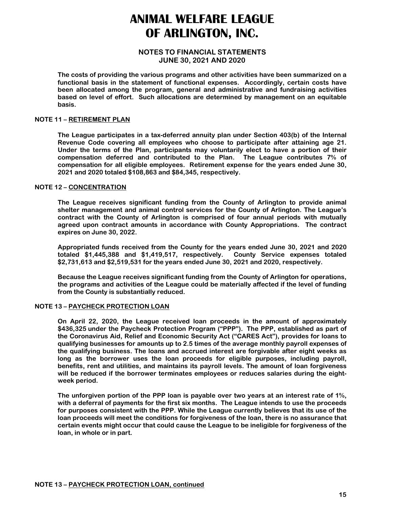#### **NOTES TO FINANCIAL STATEMENTS JUNE 30, 2021 AND 2020**

**The costs of providing the various programs and other activities have been summarized on a functional basis in the statement of functional expenses. Accordingly, certain costs have been allocated among the program, general and administrative and fundraising activities based on level of effort. Such allocations are determined by management on an equitable basis.** 

#### **NOTE 11 – RETIREMENT PLAN**

**The League participates in a tax-deferred annuity plan under Section 403(b) of the Internal Revenue Code covering all employees who choose to participate after attaining age 21. Under the terms of the Plan, participants may voluntarily elect to have a portion of their compensation deferred and contributed to the Plan. The League contributes 7% of compensation for all eligible employees. Retirement expense for the years ended June 30, 2021 and 2020 totaled \$108,863 and \$84,345, respectively.** 

#### **NOTE 12 – CONCENTRATION**

**The League receives significant funding from the County of Arlington to provide animal shelter management and animal control services for the County of Arlington. The League's contract with the County of Arlington is comprised of four annual periods with mutually agreed upon contract amounts in accordance with County Appropriations. The contract expires on June 30, 2022.** 

**Appropriated funds received from the County for the years ended June 30, 2021 and 2020 totaled \$1,445,388 and \$1,419,517, respectively. County Service expenses totaled \$2,731,613 and \$2,519,531 for the years ended June 30, 2021 and 2020, respectively.** 

**Because the League receives significant funding from the County of Arlington for operations, the programs and activities of the League could be materially affected if the level of funding from the County is substantially reduced.**

#### **NOTE 13 – PAYCHECK PROTECTION LOAN**

**On April 22, 2020, the League received loan proceeds in the amount of approximately \$436,325 under the Paycheck Protection Program ("PPP"). The PPP, established as part of the Coronavirus Aid, Relief and Economic Security Act ("CARES Act"), provides for loans to qualifying businesses for amounts up to 2.5 times of the average monthly payroll expenses of the qualifying business. The loans and accrued interest are forgivable after eight weeks as long as the borrower uses the loan proceeds for eligible purposes, including payroll, benefits, rent and utilities, and maintains its payroll levels. The amount of loan forgiveness will be reduced if the borrower terminates employees or reduces salaries during the eightweek period.**

**The unforgiven portion of the PPP loan is payable over two years at an interest rate of 1%, with a deferral of payments for the first six months. The League intends to use the proceeds for purposes consistent with the PPP. While the League currently believes that its use of the loan proceeds will meet the conditions for forgiveness of the loan, there is no assurance that certain events might occur that could cause the League to be ineligible for forgiveness of the loan, in whole or in part.**